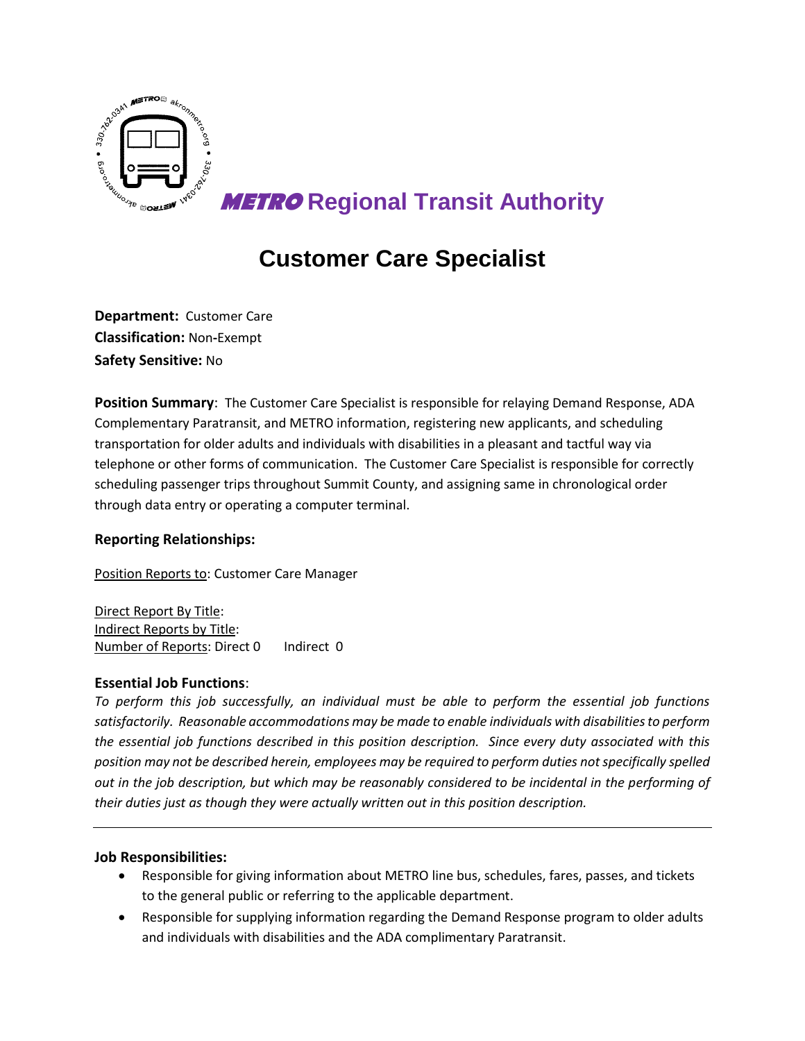

**METRO Regional Transit Authority**

# **Customer Care Specialist**

**Department:** Customer Care **Classification:** Non**-**Exempt **Safety Sensitive:** No

**Position Summary**: The Customer Care Specialist is responsible for relaying Demand Response, ADA Complementary Paratransit, and METRO information, registering new applicants, and scheduling transportation for older adults and individuals with disabilities in a pleasant and tactful way via telephone or other forms of communication. The Customer Care Specialist is responsible for correctly scheduling passenger trips throughout Summit County, and assigning same in chronological order through data entry or operating a computer terminal.

## **Reporting Relationships:**

Position Reports to: Customer Care Manager

Direct Report By Title: Indirect Reports by Title: Number of Reports: Direct 0 Indirect 0

## **Essential Job Functions**:

*To perform this job successfully, an individual must be able to perform the essential job functions satisfactorily. Reasonable accommodations may be made to enable individuals with disabilities to perform the essential job functions described in this position description. Since every duty associated with this position may not be described herein, employees may be required to perform duties not specifically spelled out in the job description, but which may be reasonably considered to be incidental in the performing of their duties just as though they were actually written out in this position description.* 

## **Job Responsibilities:**

- Responsible for giving information about METRO line bus, schedules, fares, passes, and tickets to the general public or referring to the applicable department.
- Responsible for supplying information regarding the Demand Response program to older adults and individuals with disabilities and the ADA complimentary Paratransit.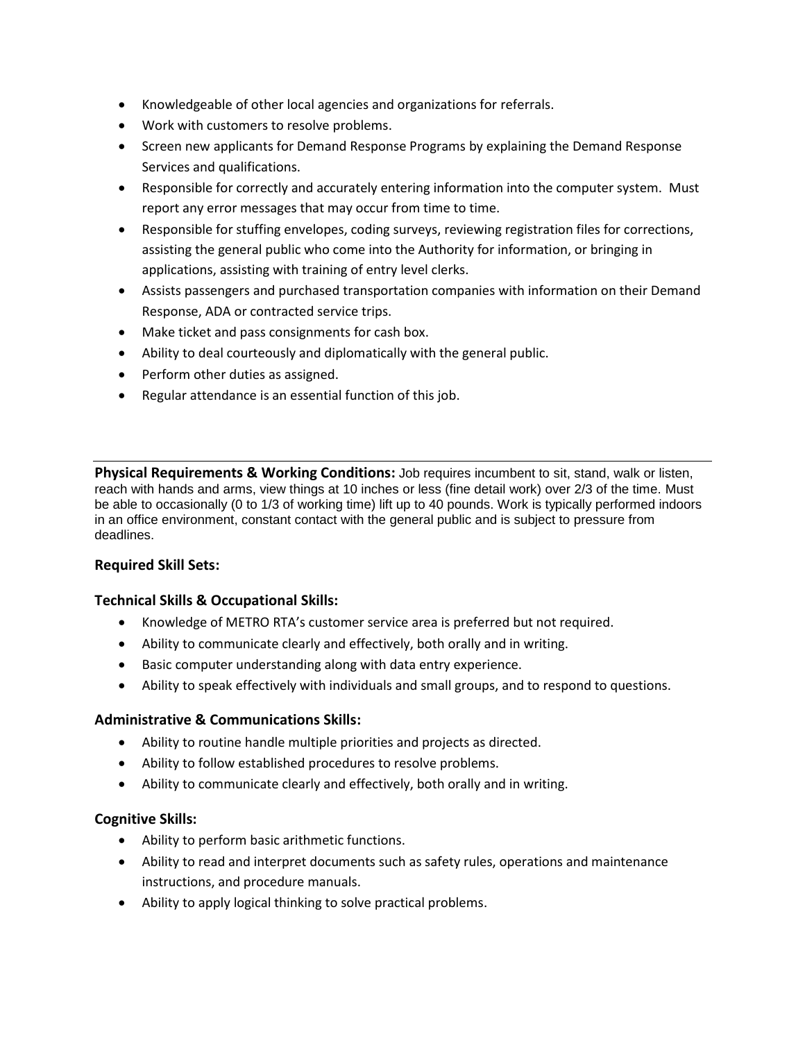- Knowledgeable of other local agencies and organizations for referrals.
- Work with customers to resolve problems.
- Screen new applicants for Demand Response Programs by explaining the Demand Response Services and qualifications.
- Responsible for correctly and accurately entering information into the computer system. Must report any error messages that may occur from time to time.
- Responsible for stuffing envelopes, coding surveys, reviewing registration files for corrections, assisting the general public who come into the Authority for information, or bringing in applications, assisting with training of entry level clerks.
- Assists passengers and purchased transportation companies with information on their Demand Response, ADA or contracted service trips.
- Make ticket and pass consignments for cash box.
- Ability to deal courteously and diplomatically with the general public.
- Perform other duties as assigned.
- Regular attendance is an essential function of this job.

**Physical Requirements & Working Conditions:** Job requires incumbent to sit, stand, walk or listen, reach with hands and arms, view things at 10 inches or less (fine detail work) over 2/3 of the time. Must be able to occasionally (0 to 1/3 of working time) lift up to 40 pounds. Work is typically performed indoors in an office environment, constant contact with the general public and is subject to pressure from deadlines.

## **Required Skill Sets:**

## **Technical Skills & Occupational Skills:**

- Knowledge of METRO RTA's customer service area is preferred but not required.
- Ability to communicate clearly and effectively, both orally and in writing.
- Basic computer understanding along with data entry experience.
- Ability to speak effectively with individuals and small groups, and to respond to questions.

## **Administrative & Communications Skills:**

- Ability to routine handle multiple priorities and projects as directed.
- Ability to follow established procedures to resolve problems.
- Ability to communicate clearly and effectively, both orally and in writing.

## **Cognitive Skills:**

- Ability to perform basic arithmetic functions.
- Ability to read and interpret documents such as safety rules, operations and maintenance instructions, and procedure manuals.
- Ability to apply logical thinking to solve practical problems.